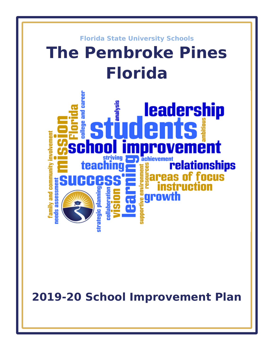

**2019-20 School Improvement Plan**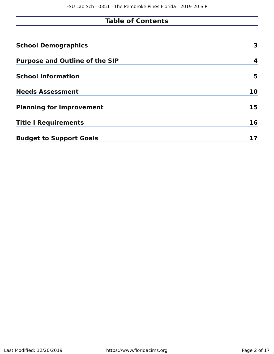# **Table of Contents**

| <b>School Demographics</b>            | 3  |
|---------------------------------------|----|
| <b>Purpose and Outline of the SIP</b> | 4  |
| <b>School Information</b>             | 5  |
| <b>Needs Assessment</b>               | 10 |
| <b>Planning for Improvement</b>       | 15 |
| <b>Title I Requirements</b>           | 16 |
| <b>Budget to Support Goals</b>        |    |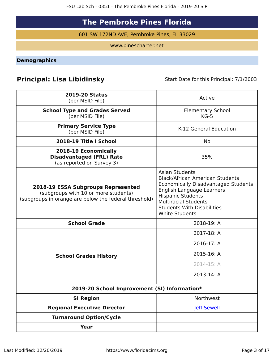# **The Pembroke Pines Florida**

601 SW 172ND AVE, Pembroke Pines, FL 33029

www.pinescharter.net

<span id="page-2-0"></span>**Demographics**

# **Principal: Lisa Libidinsky** Start Date for this Principal: 7/1/2003

| <b>2019-20 Status</b><br>(per MSID File)                                                                                            | Active                                                                                                                                                                                                                                                       |
|-------------------------------------------------------------------------------------------------------------------------------------|--------------------------------------------------------------------------------------------------------------------------------------------------------------------------------------------------------------------------------------------------------------|
| <b>School Type and Grades Served</b><br>(per MSID File)                                                                             | <b>Elementary School</b><br>$KG-5$                                                                                                                                                                                                                           |
| <b>Primary Service Type</b><br>(per MSID File)                                                                                      | K-12 General Education                                                                                                                                                                                                                                       |
| 2018-19 Title I School                                                                                                              | No                                                                                                                                                                                                                                                           |
| 2018-19 Economically<br><b>Disadvantaged (FRL) Rate</b><br>(as reported on Survey 3)                                                | 35%                                                                                                                                                                                                                                                          |
| 2018-19 ESSA Subgroups Represented<br>(subgroups with 10 or more students)<br>(subgroups in orange are below the federal threshold) | <b>Asian Students</b><br><b>Black/African American Students</b><br>Economically Disadvantaged Students<br>English Language Learners<br><b>Hispanic Students</b><br><b>Multiracial Students</b><br><b>Students With Disabilities</b><br><b>White Students</b> |
| <b>School Grade</b>                                                                                                                 | 2018-19: A                                                                                                                                                                                                                                                   |
|                                                                                                                                     | 2017-18: A                                                                                                                                                                                                                                                   |
|                                                                                                                                     | 2016-17: A                                                                                                                                                                                                                                                   |
| <b>School Grades History</b>                                                                                                        | 2015-16: A                                                                                                                                                                                                                                                   |
|                                                                                                                                     | 2014-15: A                                                                                                                                                                                                                                                   |
|                                                                                                                                     | 2013-14: A                                                                                                                                                                                                                                                   |
| 2019-20 School Improvement (SI) Information*                                                                                        |                                                                                                                                                                                                                                                              |
| <b>SI Region</b>                                                                                                                    | Northwest                                                                                                                                                                                                                                                    |
| <b>Regional Executive Director</b>                                                                                                  | <b>Jeff Sewell</b>                                                                                                                                                                                                                                           |
| <b>Turnaround Option/Cycle</b>                                                                                                      |                                                                                                                                                                                                                                                              |
| <b>Year</b>                                                                                                                         |                                                                                                                                                                                                                                                              |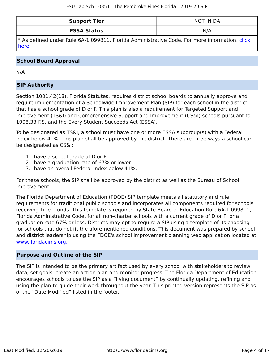| <b>Support Tier</b> | NOT IN DA |
|---------------------|-----------|
| <b>ESSA Status</b>  | N/A       |

\* As defined under Rule 6A-1.099811, Florida Administrative Code. For more information, [click](/downloads?category=da-forms) [here](/downloads?category=da-forms).

### **School Board Approval**

N/A

## **SIP Authority**

Section 1001.42(18), Florida Statutes, requires district school boards to annually approve and require implementation of a Schoolwide Improvement Plan (SIP) for each school in the district that has a school grade of D or F. This plan is also a requirement for Targeted Support and Improvement (TS&I) and Comprehensive Support and Improvement (CS&I) schools pursuant to 1008.33 F.S. and the Every Student Succeeds Act (ESSA).

To be designated as TS&I, a school must have one or more ESSA subgroup(s) with a Federal Index below 41%. This plan shall be approved by the district. There are three ways a school can be designated as CS&I:

- 1. have a school grade of D or F
- 2. have a graduation rate of 67% or lower
- 3. have an overall Federal Index below 41%.

For these schools, the SIP shall be approved by the district as well as the Bureau of School Improvement.

The Florida Department of Education (FDOE) SIP template meets all statutory and rule requirements for traditional public schools and incorporates all components required for schools receiving Title I funds. This template is required by State Board of Education Rule 6A-1.099811, Florida Administrative Code, for all non-charter schools with a current grade of D or F, or a graduation rate 67% or less. Districts may opt to require a SIP using a template of its choosing for schools that do not fit the aforementioned conditions. This document was prepared by school and district leadership using the FDOE's school improvement planning web application located at [www.floridacims.org.](https://www.floridacims.org)

### <span id="page-3-0"></span>**Purpose and Outline of the SIP**

The SIP is intended to be the primary artifact used by every school with stakeholders to review data, set goals, create an action plan and monitor progress. The Florida Department of Education encourages schools to use the SIP as a "living document" by continually updating, refining and using the plan to guide their work throughout the year. This printed version represents the SIP as of the "Date Modified" listed in the footer.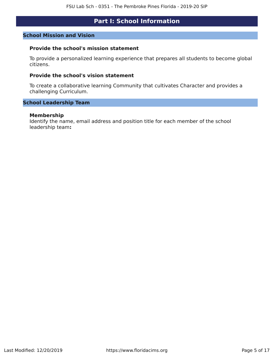# **Part I: School Information**

### <span id="page-4-0"></span>**School Mission and Vision**

### **Provide the school's mission statement**

To provide a personalized learning experience that prepares all students to become global citizens.

### **Provide the school's vision statement**

To create a collaborative learning Community that cultivates Character and provides a challenging Curriculum.

### **School Leadership Team**

#### **Membership**

Identify the name, email address and position title for each member of the school leadership team**:**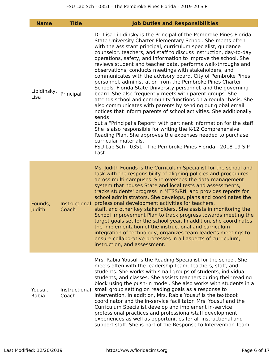| <b>Name</b>         | <b>Title</b>           | <b>Job Duties and Responsibilities</b>                                                                                                                                                                                                                                                                                                                                                                                                                                                                                                                                                                                                                                                                                                                                                                                                                                                                                                                                                                                                                                                                                                                                                                                                              |
|---------------------|------------------------|-----------------------------------------------------------------------------------------------------------------------------------------------------------------------------------------------------------------------------------------------------------------------------------------------------------------------------------------------------------------------------------------------------------------------------------------------------------------------------------------------------------------------------------------------------------------------------------------------------------------------------------------------------------------------------------------------------------------------------------------------------------------------------------------------------------------------------------------------------------------------------------------------------------------------------------------------------------------------------------------------------------------------------------------------------------------------------------------------------------------------------------------------------------------------------------------------------------------------------------------------------|
| Libidinsky,<br>Lisa | Principal              | Dr. Lisa Libidinsky is the Principal of the Pembroke Pines-Florida<br>State University Charter Elementary School. She meets often<br>with the assistant principal, curriculum specialist, guidance<br>counselor, teachers, and staff to discuss instruction, day-to-day<br>operations, safety, and information to improve the school. She<br>reviews student and teacher data, performs walk-throughs and<br>observations, conducts meetings with stakeholders, and<br>communicates with the advisory board, City of Pembroke Pines<br>personnel, administration from the Pembroke Pines Charter<br>Schools, Florida State University personnel, and the governing<br>board. She also frequently meets with parent groups. She<br>attends school and community functions on a regular basis. She<br>also communicates with parents by sending out global email<br>notices that inform parents of school activities. She additionally<br>sends<br>out a "Principal's Report" with pertinent information for the staff.<br>She is also responsible for writing the K-12 Comprehensive<br>Reading Plan. She approves the expenses needed to purchase<br>curricular materials.<br>FSU Lab Sch - 0351 - The Pembroke Pines Florida - 2018-19 SIP<br>Last |
| Founds,<br>Judith   | Instructional<br>Coach | Ms. Judith Founds is the Curriculum Specialist for the school and<br>task with the responsibility of aligning policies and procedures<br>across multi-campuses. She oversees the data management<br>system that houses State and local tests and assessments,<br>tracks students' progress in MTSS/Rtl, and provides reports for<br>school administrators. She develops, plans and coordinates the<br>professional development activities for teachers,<br>staff, and other key stakeholders. She assists in monitoring the<br>School Improvement Plan to track progress towards meeting the<br>target goals set for the school year. In addition, she coordinates<br>the implementation of the instructional and curriculum<br>integration of technology, organizes team leader's meetings to<br>ensure collaborative processes in all aspects of curriculum,<br>instruction, and assessment.                                                                                                                                                                                                                                                                                                                                                      |
| Yousuf,<br>Rabia    | Instructional<br>Coach | Mrs. Rabia Yousuf is the Reading Specialist for the school. She<br>meets often with the leadership team, teachers, staff, and<br>students. She works with small groups of students, individual<br>students, and classes. She assists teachers during their reading<br>block using the push-in model. She also works with students in a<br>small group setting on reading goals as a response to<br>intervention. In addition, Mrs. Rabia Yousuf is the textbook<br>coordinator and the in-service facilitator. Mrs. Yousuf and the<br>Curriculum Specialist develop and implement in-service<br>professional practices and professional/staff development<br>experiences as well as opportunities for all instructional and<br>support staff. She is part of the Response to Intervention Team                                                                                                                                                                                                                                                                                                                                                                                                                                                      |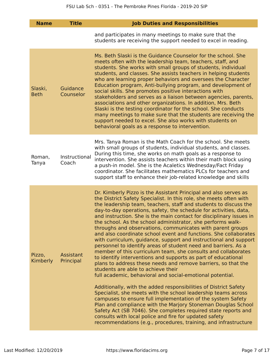| <b>Name</b>            | <b>Title</b>           | <b>Job Duties and Responsibilities</b>                                                                                                                                                                                                                                                                                                                                                                                                                                                                                                                                                                                                                                                                                                                                                                                                                                                                                                                                                                                                                                                                                                                                                                                                                                                                                                                                                                                                                                 |
|------------------------|------------------------|------------------------------------------------------------------------------------------------------------------------------------------------------------------------------------------------------------------------------------------------------------------------------------------------------------------------------------------------------------------------------------------------------------------------------------------------------------------------------------------------------------------------------------------------------------------------------------------------------------------------------------------------------------------------------------------------------------------------------------------------------------------------------------------------------------------------------------------------------------------------------------------------------------------------------------------------------------------------------------------------------------------------------------------------------------------------------------------------------------------------------------------------------------------------------------------------------------------------------------------------------------------------------------------------------------------------------------------------------------------------------------------------------------------------------------------------------------------------|
|                        |                        | and participates in many meetings to make sure that the<br>students are receiving the support needed to excel in reading.                                                                                                                                                                                                                                                                                                                                                                                                                                                                                                                                                                                                                                                                                                                                                                                                                                                                                                                                                                                                                                                                                                                                                                                                                                                                                                                                              |
| Slaski,<br><b>Beth</b> | Guidance<br>Counselor  | Ms. Beth Slaski is the Guidance Counselor for the school. She<br>meets often with the leadership team, teachers, staff, and<br>students. She works with small groups of students, individual<br>students, and classes. She assists teachers in helping students<br>who are learning proper behaviors and oversees the Character<br>Education program, Anti-bullying program, and development of<br>social skills. She promotes positive interactions with<br>stakeholders and serves as a liaison between agencies, parents,<br>associations and other organizations. In addition, Mrs. Beth<br>Slaski is the testing coordinator for the school. She conducts<br>many meetings to make sure that the students are receiving the<br>support needed to excel. She also works with students on<br>behavioral goals as a response to intervention.                                                                                                                                                                                                                                                                                                                                                                                                                                                                                                                                                                                                                        |
| Roman,<br>Tanya        | Instructional<br>Coach | Mrs. Tanya Roman is the Math Coach for the school. She meets<br>with small groups of students, individual students, and classes.<br>During this time, she works on math goals as a response to<br>intervention. She assists teachers within their math block using<br>a push-in model. She is the Acaletics Wednesday/Fact Friday<br>coordinator. She facilitates mathematics PLCs for teachers and<br>support staff to enhance their job-related knowledge and skills                                                                                                                                                                                                                                                                                                                                                                                                                                                                                                                                                                                                                                                                                                                                                                                                                                                                                                                                                                                                 |
| Pizzo,<br>Kimberly     | Assistant<br>Principal | Dr. Kimberly Pizzo is the Assistant Principal and also serves as<br>the District Safety Specialist. In this role, she meets often with<br>the leadership team, teachers, staff and students to discuss the<br>day-to-day operations, safety, the schedule for activities, data,<br>and instruction. She is the main contact for disciplinary issues in<br>the school. As the school administrator, she performs walk-<br>throughs and observations, communicates with parent groups<br>and also coordinate school event and functions. She collaborates<br>with curriculum, guidance, support and instructional and support<br>personnel to identify areas of student need and barriers. As a<br>member of this curriculum team, she consults and collaborates<br>to identify interventions and supports as part of educational<br>plans to address these needs and remove barriers, so that the<br>students are able to achieve their<br>full academic, behavioral and social-emotional potential.<br>Additionally, with the added responsibilities of District Safety<br>Specialist, she meets with the school leadership teams across<br>campuses to ensure full implementation of the system Safety<br>Plan and compliance with the Marjory Stoneman Douglas School<br>Safety Act (SB 7046). She completes required state reports and<br>consults with local police and fire for updated safety<br>recommendations (e.g., procedures, training, and infrastructure |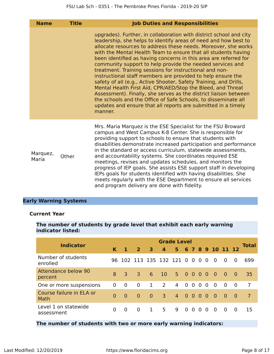| <b>Name</b>       | <b>Title</b> | <b>Job Duties and Responsibilities</b>                                                                                                                                                                                                                                                                                                                                                                                                                                                                                                                                                                                                                                                                                                                                                                                                                                                     |
|-------------------|--------------|--------------------------------------------------------------------------------------------------------------------------------------------------------------------------------------------------------------------------------------------------------------------------------------------------------------------------------------------------------------------------------------------------------------------------------------------------------------------------------------------------------------------------------------------------------------------------------------------------------------------------------------------------------------------------------------------------------------------------------------------------------------------------------------------------------------------------------------------------------------------------------------------|
|                   |              | upgrades). Further, in collaboration with district school and city<br>leadership, she helps to identify areas of need and how best to<br>allocate resources to address these needs. Moreover, she works<br>with the Mental Health Team to ensure that all students having<br>been identified as having concerns in this area are referred for<br>community support to help provide the needed services and<br>treatment. Training sessions for instructional and non-<br>instructional staff members are provided to help ensure the<br>safety of all (e.g., Active Shooter, Safety Training, and Drills,<br>Mental Health First Aid, CPR/AED/Stop the Bleed, and Threat<br>Assessment). Finally, she serves as the district liaison between<br>the schools and the Office of Safe Schools, to disseminate all<br>updates and ensure that all reports are submitted in a timely<br>manner. |
| Marquez,<br>Maria | Other        | Mrs. Maria Marquez is the ESE Specialist for the FSU Broward<br>campus and West Campus K-8 Center. She is responsible for<br>providing support to schools to ensure that students with<br>disabilities demonstrate increased participation and performance<br>in the standard or access curriculum, statewide assessments,<br>and accountability systems. She coordinates required ESE<br>meetings, revises and updates schedules, and monitors the<br>progress of IEP goals. She assists ESE support staff in developing<br>IEPs goals for students identified with having disabilities. She<br>meets regularly with the ESE Department to ensure all services<br>and program delivery are done with fidelity.                                                                                                                                                                            |

# **Early Warning Systems**

### **Current Year**

## **The number of students by grade level that exhibit each early warning indicator listed:**

| <b>Indicator</b>                   |          |          |                       |                |                 | <b>Grade Level</b> |                                   |                |                |          |                |                |          | <b>Total</b>   |
|------------------------------------|----------|----------|-----------------------|----------------|-----------------|--------------------|-----------------------------------|----------------|----------------|----------|----------------|----------------|----------|----------------|
|                                    | K        |          | $\overline{2}$        | 3              | $\mathbf{A}$    | 5                  |                                   | 6 <sub>7</sub> |                |          | 8910           |                | $-12$    |                |
| Number of students<br>enrolled     | 96       |          | 102 113 135 132 121 0 |                |                 |                    |                                   | $\overline{0}$ | $\overline{0}$ | $\Omega$ | $\overline{0}$ | $\Omega$       | $\Omega$ | 699            |
| Attendance below 90<br>percent     | 8        | 3        | $\mathcal{R}$         | 6              | 10 <sup>1</sup> | 5 0 0 0            |                                   |                |                | $\Omega$ | $\overline{0}$ | $\overline{0}$ | - 0      | 35             |
| One or more suspensions            | 0        | $\Omega$ | $\Omega$              | $\mathbf{1}$   | 2               | 4                  | $\overline{0}$                    | $\overline{0}$ | $\Omega$       | $\Omega$ | $\overline{0}$ | $\Omega$       | $\Omega$ | $\overline{7}$ |
| Course failure in ELA or<br>Math   | $\Omega$ | $\Omega$ | $\Omega$              | $\overline{0}$ | $\overline{3}$  | $\overline{4}$     | $\begin{matrix}0 & 0\end{matrix}$ |                | $\Omega$       | $\Omega$ | $\sim 0$       | $\Omega$       | - 0      | $\overline{7}$ |
| Level 1 on statewide<br>assessment | $\Omega$ | $\Omega$ | $\Omega$              | 1              | 5.              | 9                  | $\Omega$                          | $\Omega$       | $\Omega$       | $\Omega$ | $\Omega$       | $\Omega$       | 0        | 15             |

## **The number of students with two or more early warning indicators:**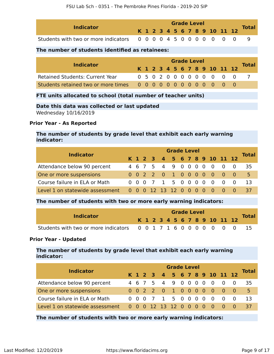| <b>Indicator</b>                                                 |  |  |  | <b>Grade Level</b> |  |  |                              | <b>Total</b> |
|------------------------------------------------------------------|--|--|--|--------------------|--|--|------------------------------|--------------|
|                                                                  |  |  |  |                    |  |  | K 1 2 3 4 5 6 7 8 9 10 11 12 |              |
| Students with two or more indicators 0 0 0 0 4 5 0 0 0 0 0 0 0 0 |  |  |  |                    |  |  |                              |              |

### **The number of students identified as retainees:**

| <b>Indicator</b>                       |  | <b>Grade Level</b> |  |  |  |  |  |  |  |  |                              |  |  |              |  |
|----------------------------------------|--|--------------------|--|--|--|--|--|--|--|--|------------------------------|--|--|--------------|--|
|                                        |  |                    |  |  |  |  |  |  |  |  | K 1 2 3 4 5 6 7 8 9 10 11 12 |  |  | <b>Total</b> |  |
| <b>Retained Students: Current Year</b> |  |                    |  |  |  |  |  |  |  |  | 0 5 0 2 0 0 0 0 0 0 0 0 0    |  |  |              |  |
|                                        |  |                    |  |  |  |  |  |  |  |  |                              |  |  |              |  |

### **FTE units allocated to school (total number of teacher units)**

### **Date this data was collected or last updated**

Wednesday 10/16/2019

### **Prior Year - As Reported**

### **The number of students by grade level that exhibit each early warning indicator:**

| <b>Indicator</b>                                               |  |  |                     | <b>Grade Level</b> |  |  |                                         |            | <b>Total</b> |
|----------------------------------------------------------------|--|--|---------------------|--------------------|--|--|-----------------------------------------|------------|--------------|
|                                                                |  |  |                     |                    |  |  | K 1 2 3 4 5 6 7 8 9 10 11 12            |            |              |
| Attendance below 90 percent                                    |  |  | 4 6 7 5 4 9 0 0 0 0 |                    |  |  | $\Omega$                                | $0\quad 0$ | 35           |
| One or more suspensions                                        |  |  |                     |                    |  |  | 0 0 2 2 0 1 0 0 0 0 0 0 0               |            | .5.          |
| Course failure in ELA or Math                                  |  |  | 0 0 0 7 1 5 0 0 0 0 |                    |  |  | $\begin{matrix} 0 & 0 & 0 \end{matrix}$ |            | 13           |
| Level 1 on statewide assessment 0 0 0 12 13 12 0 0 0 0 0 0 0 0 |  |  |                     |                    |  |  |                                         |            | 37           |

### **The number of students with two or more early warning indicators:**

| <b>Indicator</b>                                                 |  |  |  | <b>Grade Level</b> |  |  |                              |              |
|------------------------------------------------------------------|--|--|--|--------------------|--|--|------------------------------|--------------|
|                                                                  |  |  |  |                    |  |  | K 1 2 3 4 5 6 7 8 9 10 11 12 | <b>Total</b> |
| Students with two or more indicators 0 0 1 7 1 6 0 0 0 0 0 0 0 0 |  |  |  |                    |  |  |                              |              |

### **Prior Year - Updated**

### **The number of students by grade level that exhibit each early warning indicator:**

| <b>Indicator</b>                |  |     |  |                          | <b>Grade Level</b> |  |  |                |                              |              |
|---------------------------------|--|-----|--|--------------------------|--------------------|--|--|----------------|------------------------------|--------------|
|                                 |  |     |  |                          |                    |  |  |                | K 1 2 3 4 5 6 7 8 9 10 11 12 | <b>Total</b> |
| Attendance below 90 percent     |  |     |  | 4 6 7 5 4 9 0 0 0 0      |                    |  |  | $\overline{0}$ | $\overline{0}$               | 35           |
| One or more suspensions         |  |     |  |                          |                    |  |  |                | 0 0 2 2 0 1 0 0 0 0 0 0 0    | .5.          |
| Course failure in ELA or Math   |  | 0 O |  | 0 7 1 5 0 0 0 0          |                    |  |  | $\overline{0}$ | $\bigcirc$ 0                 | 13           |
| Level 1 on statewide assessment |  |     |  | 0 0 0 12 13 12 0 0 0 0 0 |                    |  |  |                |                              | 37           |

### **The number of students with two or more early warning indicators:**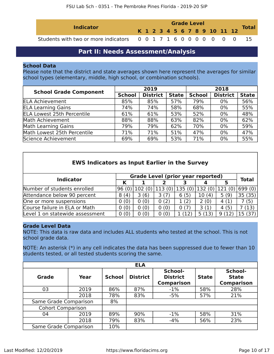| <b>Indicator</b>                                                 |  | <b>Grade Level</b> |  |  |  |  |  |  |  |  |                              | <b>Total</b> |  |
|------------------------------------------------------------------|--|--------------------|--|--|--|--|--|--|--|--|------------------------------|--------------|--|
|                                                                  |  |                    |  |  |  |  |  |  |  |  | K 1 2 3 4 5 6 7 8 9 10 11 12 |              |  |
| Students with two or more indicators 0 0 1 7 1 6 0 0 0 0 0 0 0 0 |  |                    |  |  |  |  |  |  |  |  |                              |              |  |

# **Part II: Needs Assessment/Analysis**

### <span id="page-9-0"></span>**School Data**

Please note that the district and state averages shown here represent the averages for similar school types (elementary, middle, high school, or combination schools).

| <b>School Grade Component</b>     |               | 2019            |              | 2018          |                 |              |  |
|-----------------------------------|---------------|-----------------|--------------|---------------|-----------------|--------------|--|
|                                   | <b>School</b> | <b>District</b> | <b>State</b> | <b>School</b> | <b>District</b> | <b>State</b> |  |
| <b>ELA Achievement</b>            | 85%           | 85%             | 57%          | 79%           | $0\%$           | 56%          |  |
| <b>ELA Learning Gains</b>         | 74%           | 74%             | 58%          | 68%           | $0\%$           | 55%          |  |
| <b>ELA Lowest 25th Percentile</b> | 61%           | 61%             | 53%          | 52%           | 0%              | 48%          |  |
| Math Achievement                  | 88%           | 88%             | 63%          | 82%           | 0%              | 62%          |  |
| Math Learning Gains               | 79%           | 79%             | 62%          | 70%           | 0%              | 59%          |  |
| Math Lowest 25th Percentile       | 71%           | 71%             | 51%          | 47%           | 0%              | 47%          |  |
| Science Achievement               | 69%           | 69%             | 53%          | 71%           | 0%              | 55%          |  |

| <b>EWS Indicators as Input Earlier in the Survey</b> |      |                                          |        |        |        |        |              |  |
|------------------------------------------------------|------|------------------------------------------|--------|--------|--------|--------|--------------|--|
| <b>Indicator</b>                                     |      | <b>Grade Level (prior year reported)</b> |        |        |        |        | <b>Total</b> |  |
|                                                      | κ    |                                          |        |        |        | 5      |              |  |
| Number of students enrolled                          |      | $96(0)$   102 $(0)$                      | 113(0) | 135(0) | 132(0) | 121(0) | 699 (0)      |  |
| Attendance below 90 percent                          | 8(4) | 3(6)                                     | 3(7)   | 6(5)   | 10(4)  | 5(9)   | 35(35)       |  |
| One or more suspensions                              | 0(0) | 0(0)                                     | 0(2)   | 1(2)   | 2(0)   | 4(1)   | (5)          |  |
| Course failure in ELA or Math                        | 0(0) | 0(0)                                     | 0(0)   | 0(7)   | 3(1)   | 4(5)   | (13)         |  |
| Level 1 on statewide assessment                      | 0(0) | 0(0)                                     | 0(0)   | (12)   | 5 (13  | 9(12)  | 15 (37       |  |

### **Grade Level Data**

NOTE: This data is raw data and includes ALL students who tested at the school. This is not school grade data.

NOTE: An asterisk (\*) in any cell indicates the data has been suppressed due to fewer than 10 students tested, or all tested students scoring the same.

|                          |      |               | <b>ELA</b>      |                                                 |              |                                              |
|--------------------------|------|---------------|-----------------|-------------------------------------------------|--------------|----------------------------------------------|
| <b>Grade</b>             | Year | <b>School</b> | <b>District</b> | School-<br><b>District</b><br><b>Comparison</b> | <b>State</b> | School-<br><b>State</b><br><b>Comparison</b> |
| 03                       | 2019 | 86%           | 87%             | $-1%$                                           | 58%          | 28%                                          |
|                          | 2018 | 78%           | 83%             | $-5%$                                           | 57%          | 21%                                          |
| Same Grade Comparison    |      | 8%            |                 |                                                 |              |                                              |
| <b>Cohort Comparison</b> |      |               |                 |                                                 |              |                                              |
| 04                       | 2019 | 89%           | 90%             | $-1%$                                           | 58%          | 31%                                          |
|                          | 2018 | 79%           | 83%             | $-4%$                                           | 56%          | 23%                                          |
| Same Grade Comparison    |      | 10%           |                 |                                                 |              |                                              |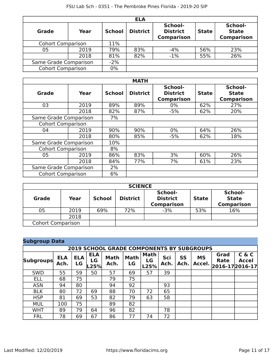|                          |       |               | <b>ELA</b>      |                                                 |              |                                              |
|--------------------------|-------|---------------|-----------------|-------------------------------------------------|--------------|----------------------------------------------|
| Grade                    | Year  | <b>School</b> | <b>District</b> | School-<br><b>District</b><br><b>Comparison</b> | <b>State</b> | School-<br><b>State</b><br><b>Comparison</b> |
| <b>Cohort Comparison</b> |       | 11%           |                 |                                                 |              |                                              |
| 05                       | 2019  | 79%           | 83%             | $-4%$                                           | 56%          | 23%                                          |
|                          | 2018  | 81%           | 82%             | $-1\%$                                          | 55%          | 26%                                          |
| Same Grade Comparison    | $-2%$ |               |                 |                                                 |              |                                              |
| <b>Cohort Comparison</b> | 0%    |               |                 |                                                 |              |                                              |

|                          |      |               | <b>MATH</b>     |                                                 |              |                                              |
|--------------------------|------|---------------|-----------------|-------------------------------------------------|--------------|----------------------------------------------|
| Grade                    | Year | <b>School</b> | <b>District</b> | School-<br><b>District</b><br><b>Comparison</b> | <b>State</b> | School-<br><b>State</b><br><b>Comparison</b> |
| 03                       | 2019 | 89%           | 89%             | 0%                                              | 62%          | 27%                                          |
|                          | 2018 | 82%           | 87%             | $-5%$                                           | 62%          | 20%                                          |
| Same Grade Comparison    |      | 7%            |                 |                                                 |              |                                              |
| <b>Cohort Comparison</b> |      |               |                 |                                                 |              |                                              |
| 04                       | 2019 | 90%           | 90%             | $0\%$                                           | 64%          | 26%                                          |
|                          | 2018 | 80%           | 85%             | $-5%$                                           | 62%          | 18%                                          |
| Same Grade Comparison    |      | 10%           |                 |                                                 |              |                                              |
| <b>Cohort Comparison</b> |      | 8%            |                 |                                                 |              |                                              |
| 05                       | 2019 | 86%           | 83%             | 3%                                              | 60%          | 26%                                          |
|                          | 2018 | 84%           | 77%             | 7%                                              | 61%          | 23%                                          |
| Same Grade Comparison    |      | 2%            |                 |                                                 |              |                                              |
| <b>Cohort Comparison</b> |      | 6%            |                 |                                                 |              |                                              |

| <b>SCIENCE</b>           |      |               |                 |                                                 |              |                                              |  |  |  |
|--------------------------|------|---------------|-----------------|-------------------------------------------------|--------------|----------------------------------------------|--|--|--|
| <b>Grade</b>             | Year | <b>School</b> | <b>District</b> | School-<br><b>District</b><br><b>Comparison</b> | <b>State</b> | School-<br><b>State</b><br><b>Comparison</b> |  |  |  |
| 05                       | 2019 | 69%           | 72%             | $-3%$                                           | 53%          | 16%                                          |  |  |  |
|                          | 2018 |               |                 |                                                 |              |                                              |  |  |  |
| <b>Cohort Comparison</b> |      |               |                 |                                                 |              |                                              |  |  |  |

| <b>Subgroup Data</b> |                                                  |                  |                          |                     |                   |                           |             |                   |                     |              |                                              |
|----------------------|--------------------------------------------------|------------------|--------------------------|---------------------|-------------------|---------------------------|-------------|-------------------|---------------------|--------------|----------------------------------------------|
|                      | <b>2019 SCHOOL GRADE COMPONENTS BY SUBGROUPS</b> |                  |                          |                     |                   |                           |             |                   |                     |              |                                              |
| <b>Subgroups</b>     | <b>ELA</b><br>Ach.                               | <b>ELA</b><br>LG | <b>ELA</b><br>LG<br>.25% | <b>Math</b><br>Ach. | <b>Math</b><br>LG | <b>Math</b><br>LG<br>L25% | Sci<br>Ach. | <b>SS</b><br>Ach. | <b>MS</b><br>Accel. | Grad<br>Rate | C & C<br><b>Accel</b><br>$ 2016-17 2016-17 $ |
| <b>SWD</b>           | 55                                               | 59               | 50                       | 57                  | 69                | 57                        | 39          |                   |                     |              |                                              |
| <b>ELL</b>           | 68                                               | 75               |                          | 79                  | 75                |                           |             |                   |                     |              |                                              |
| <b>ASN</b>           | 94                                               | 80               |                          | 94                  | 92                |                           | 93          |                   |                     |              |                                              |
| <b>BLK</b>           | 80                                               | 72               | 69                       | 88                  | 70                | 72                        | 65          |                   |                     |              |                                              |
| <b>HSP</b>           | 81                                               | 69               | 53                       | 82                  | 79                | 63                        | 58          |                   |                     |              |                                              |
| <b>MUL</b>           | 100                                              | 75               |                          | 89                  | 82                |                           |             |                   |                     |              |                                              |
| <b>WHT</b>           | 89                                               | 79               | 64                       | 96                  | 82                |                           | 78          |                   |                     |              |                                              |
| <b>FRL</b>           | 78                                               | 69               | 67                       | 86                  | 77                | 74                        | 72          |                   |                     |              |                                              |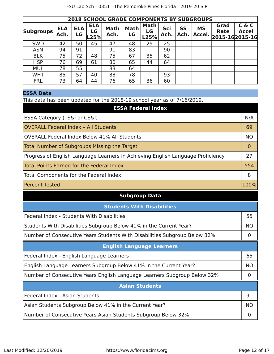|                  |                    |                  |                          | <b>2018 SCHOOL GRADE COMPONENTS BY SUBGROUPS</b> |                   |                           |             |                   |                     |                                       |                       |
|------------------|--------------------|------------------|--------------------------|--------------------------------------------------|-------------------|---------------------------|-------------|-------------------|---------------------|---------------------------------------|-----------------------|
| <b>Subgroups</b> | <b>ELA</b><br>Ach. | <b>ELA</b><br>LG | <b>ELA</b><br>LG<br>L25% | <b>Math</b><br>Ach.                              | <b>Math</b><br>LG | <b>Math</b><br>LG<br>L25% | Sci<br>Ach. | <b>SS</b><br>Ach. | <b>MS</b><br>Accel. | Grad<br><b>Rate</b><br>2015-162015-16 | C & C<br><b>Accel</b> |
| <b>SWD</b>       | 42                 | 50               | 45                       | 47                                               | 48                | 29                        | 25          |                   |                     |                                       |                       |
| <b>ASN</b>       | 94                 | 91               |                          | 91                                               | 83                |                           | 90          |                   |                     |                                       |                       |
| <b>BLK</b>       | 75                 | 72               | 48                       | 75                                               | 67                | 35                        | 62          |                   |                     |                                       |                       |
| <b>HSP</b>       | 76                 | 69               | 61                       | 80                                               | 65                | 44                        | 64          |                   |                     |                                       |                       |
| <b>MUL</b>       | 78                 | 55               |                          | 83                                               | 64                |                           |             |                   |                     |                                       |                       |
| <b>WHT</b>       | 85                 | 57               | 40                       | 88                                               | 78                |                           | 93          |                   |                     |                                       |                       |
| <b>FRL</b>       | 73                 | 64               | 44                       | 76                                               | 65                | 36                        | 60          |                   |                     |                                       |                       |

## **ESSA Data**

This data has been updated for the 2018-19 school year as of 7/16/2019.

| <b>ESSA Federal Index</b>                                                       |           |
|---------------------------------------------------------------------------------|-----------|
| ESSA Category (TS&I or CS&I)                                                    | N/A       |
| <b>OVERALL Federal Index - All Students</b>                                     | 69        |
| <b>OVERALL Federal Index Below 41% All Students</b>                             | <b>NO</b> |
| <b>Total Number of Subgroups Missing the Target</b>                             | 0         |
| Progress of English Language Learners in Achieving English Language Proficiency | 27        |
| <b>Total Points Earned for the Federal Index</b>                                | 554       |
| Total Components for the Federal Index                                          | 8         |
| <b>Percent Tested</b>                                                           | 100%      |
| <b>Subgroup Data</b>                                                            |           |
| <b>Students With Disabilities</b>                                               |           |
| Federal Index - Students With Disabilities                                      | 55        |
| Students With Disabilities Subgroup Below 41% in the Current Year?              | <b>NO</b> |
| Number of Consecutive Years Students With Disabilities Subgroup Below 32%       | 0         |
| <b>English Language Learners</b>                                                |           |
| Federal Index - English Language Learners                                       | 65        |
| English Language Learners Subgroup Below 41% in the Current Year?               | <b>NO</b> |
| Number of Consecutive Years English Language Learners Subgroup Below 32%        | $\Omega$  |
| <b>Asian Students</b>                                                           |           |
| Federal Index - Asian Students                                                  | 91        |
| Asian Students Subgroup Below 41% in the Current Year?                          | <b>NO</b> |
| Number of Consecutive Years Asian Students Subgroup Below 32%                   | 0         |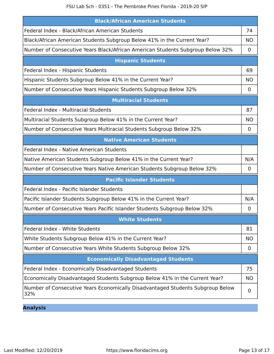| <b>Black/African American Students</b>                                                |                |
|---------------------------------------------------------------------------------------|----------------|
| Federal Index - Black/African American Students                                       | 74             |
| Black/African American Students Subgroup Below 41% in the Current Year?               | <b>NO</b>      |
| Number of Consecutive Years Black/African American Students Subgroup Below 32%        | 0              |
| <b>Hispanic Students</b>                                                              |                |
| Federal Index - Hispanic Students                                                     | 69             |
| Hispanic Students Subgroup Below 41% in the Current Year?                             | <b>NO</b>      |
| Number of Consecutive Years Hispanic Students Subgroup Below 32%                      | $\mathbf 0$    |
| <b>Multiracial Students</b>                                                           |                |
| <b>Federal Index - Multiracial Students</b>                                           | 87             |
| Multiracial Students Subgroup Below 41% in the Current Year?                          | <b>NO</b>      |
| Number of Consecutive Years Multiracial Students Subgroup Below 32%                   | 0              |
| <b>Native American Students</b>                                                       |                |
| Federal Index - Native American Students                                              |                |
| Native American Students Subgroup Below 41% in the Current Year?                      | N/A            |
| Number of Consecutive Years Native American Students Subgroup Below 32%               | $\mathbf 0$    |
| <b>Pacific Islander Students</b>                                                      |                |
| Federal Index - Pacific Islander Students                                             |                |
| Pacific Islander Students Subgroup Below 41% in the Current Year?                     | N/A            |
| Number of Consecutive Years Pacific Islander Students Subgroup Below 32%              | 0              |
| <b>White Students</b>                                                                 |                |
| Federal Index - White Students                                                        | 81             |
| White Students Subgroup Below 41% in the Current Year?                                | <b>NO</b>      |
| Number of Consecutive Years White Students Subgroup Below 32%                         | 0              |
| <b>Economically Disadvantaged Students</b>                                            |                |
| Federal Index - Economically Disadvantaged Students                                   | 75             |
| Economically Disadvantaged Students Subgroup Below 41% in the Current Year?           | <b>NO</b>      |
| Number of Consecutive Years Economically Disadvantaged Students Subgroup Below<br>32% | $\overline{0}$ |

**Analysis**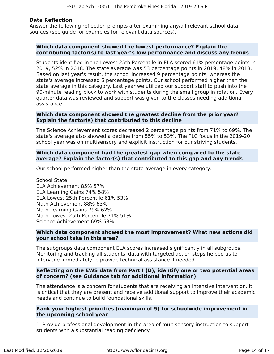### **Data Reflection**

Answer the following reflection prompts after examining any/all relevant school data sources (see guide for examples for relevant data sources).

### **Which data component showed the lowest performance? Explain the contributing factor(s) to last year's low performance and discuss any trends**

Students identified in the Lowest 25th Percentile in ELA scored 61% percentage points in 2019, 52% in 2018. The state average was 53 percentage points in 2019, 48% in 2018. Based on last year's result, the school increased 9 percentage points, whereas the state's average increased 5 percentage points. Our school performed higher than the state average in this category. Last year we utilized our support staff to push into the 90-minute reading block to work with students during the small group in rotation. Every quarter data was reviewed and support was given to the classes needing additional assistance.

### **Which data component showed the greatest decline from the prior year? Explain the factor(s) that contributed to this decline**

The Science Achievement scores decreased 2 percentage points from 71% to 69%. The state's average also showed a decline from 55% to 53%. The PLC focus in the 2019-20 school year was on multisensory and explicit instruction for our striving students.

### **Which data component had the greatest gap when compared to the state average? Explain the factor(s) that contributed to this gap and any trends**

Our school performed higher than the state average in every category.

School State ELA Achievement 85% 57% ELA Learning Gains 74% 58% ELA Lowest 25th Percentile 61% 53% Math Achievement 88% 63% Math Learning Gains 79% 62% Math Lowest 25th Percentile 71% 51% Science Achievement 69% 53%

### **Which data component showed the most improvement? What new actions did your school take in this area?**

The subgroups data component ELA scores increased significantly in all subgroups. Monitoring and tracking all students' data with targeted action steps helped us to intervene immediately to provide technical assistance if needed.

### **Reflecting on the EWS data from Part I (D), identify one or two potential areas of concern? (see Guidance tab for additional information)**

The attendance is a concern for students that are receiving an intensive intervention. It is critical that they are present and receive additional support to improve their academic needs and continue to build foundational skills.

### **Rank your highest priorities (maximum of 5) for schoolwide improvement in the upcoming school year**

1. Provide professional development in the area of multisensory instruction to support students with a substantial reading deficiency.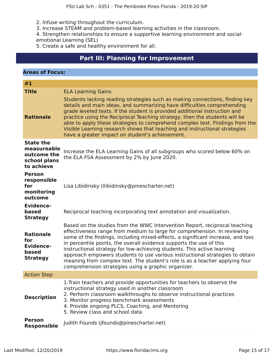2. Infuse writing throughout the curriculum.

3. Increase STEAM and problem-based learning activities in the classroom.

4. Strengthen relationships to ensure a supportive learning environment and socialemotional Learning (SEL)

5. Create a safe and healthy environment for all.

# **Part III: Planning for Improvement**

<span id="page-14-0"></span>

| <b>Areas of Focus:</b>                                                       |                                                                                                                                                                                                                                                                                                                                                                                                                                                                                                                                                                                                                   |
|------------------------------------------------------------------------------|-------------------------------------------------------------------------------------------------------------------------------------------------------------------------------------------------------------------------------------------------------------------------------------------------------------------------------------------------------------------------------------------------------------------------------------------------------------------------------------------------------------------------------------------------------------------------------------------------------------------|
| #1                                                                           |                                                                                                                                                                                                                                                                                                                                                                                                                                                                                                                                                                                                                   |
| <b>Title</b>                                                                 | <b>ELA Learning Gains</b>                                                                                                                                                                                                                                                                                                                                                                                                                                                                                                                                                                                         |
| <b>Rationale</b>                                                             | Students lacking reading strategies such as making connections, finding key<br>details and main ideas, and summarizing have difficulties comprehending<br>grade leveled texts. If the student is provided additional instruction and<br>practice using the Reciprocal Teaching strategy, then the students will be<br>able to apply these strategies to comprehend complex text. Findings from the<br>Visible Learning research shows that teaching and instructional strategies<br>have a greater impact on student's achievement.                                                                               |
| <b>State the</b><br>measureable<br>outcome the<br>school plans<br>to achieve | Increase the ELA Learning Gains of all subgroups who scored below 60% on<br>the ELA FSA Assessment by 2% by June 2020.                                                                                                                                                                                                                                                                                                                                                                                                                                                                                            |
| <b>Person</b><br>responsible<br>for<br>monitoring<br>outcome                 | Lisa Libidinsky (Ilibidinsky@pinescharter.net)                                                                                                                                                                                                                                                                                                                                                                                                                                                                                                                                                                    |
| <b>Evidence-</b><br>based<br><b>Strategy</b>                                 | Reciprocal teaching incorporating text annotation and visualization.                                                                                                                                                                                                                                                                                                                                                                                                                                                                                                                                              |
| <b>Rationale</b><br>for<br><b>Evidence-</b><br>based<br><b>Strategy</b>      | Based on the studies from the WWC Intervention Report, reciprocal teaching<br>effectiveness range from medium to large for comprehension. In reviewing<br>some of the findings, including mixed-effects, a significant increase, and loss<br>in percentile points, the overall evidence supports the use of this<br>instructional strategy for low-achieving students. This active learning<br>approach empowers students to use various instructional strategies to obtain<br>meaning from complex text. The student's role is as a teacher applying four<br>comprehension strategies using a graphic organizer. |
| <b>Action Step</b>                                                           |                                                                                                                                                                                                                                                                                                                                                                                                                                                                                                                                                                                                                   |
| <b>Description</b>                                                           | 1. Train teachers and provide opportunities for teachers to observe the<br>instructional strategy used in another classroom<br>2. Perform classroom walkthroughs to observe instructional practices<br>3. Monitor progress benchmark assessments<br>4. Provide ongoing PLCS, Coaching, and Mentoring<br>5. Review class and school data                                                                                                                                                                                                                                                                           |
| <b>Person</b><br><b>Responsible</b>                                          | Judith Founds (jfounds@pinescharter.net)                                                                                                                                                                                                                                                                                                                                                                                                                                                                                                                                                                          |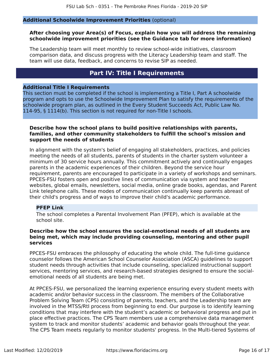### **Additional Schoolwide Improvement Priorities** (optional)

### **After choosing your Area(s) of Focus, explain how you will address the remaining schoolwide improvement priorities (see the Guidance tab for more information)**

The Leadership team will meet monthly to review school-wide initiatives, classroom comparison data, and discuss progress with the Literacy Leadership team and staff. The team will use data, feedback, and concerns to revise SIP as needed.

# **Part IV: Title I Requirements**

### <span id="page-15-0"></span>**Additional Title I Requirements**

This section must be completed if the school is implementing a Title I, Part A schoolwide program and opts to use the Schoolwide Improvement Plan to satisfy the requirements of the schoolwide program plan, as outlined in the Every Student Succeeds Act, Public Law No. 114-95, § 1114(b). This section is not required for non-Title I schools.

### **Describe how the school plans to build positive relationships with parents, families, and other community stakeholders to fulfill the school's mission and support the needs of students**

In alignment with the system's belief of engaging all stakeholders, practices, and policies meeting the needs of all students, parents of students in the charter system volunteer a minimum of 30 service hours annually. This commitment actively and continually engages parents in the academic experiences of their children. Beyond the service hour requirement, parents are encouraged to participate in a variety of workshops and seminars. PPCES-FSU fosters open and positive lines of communication via system and teacher websites, global emails, newsletters, social media, online grade books, agendas, and Parent Link telephone calls. These modes of communication continually keep parents abreast of their child's progress and of ways to improve their child's academic performance.

### **PFEP Link**

The school completes a Parental Involvement Plan (PFEP), which is available at the school site.

### **Describe how the school ensures the social-emotional needs of all students are being met, which may include providing counseling, mentoring and other pupil services**

PPCES-FSU embraces the philosophy of educating the whole child. The full-time guidance counselor follows the American School Counselor Association (ASCA) guidelines to support student needs through activities that include counseling, specialized instructional support services, mentoring services, and research-based strategies designed to ensure the socialemotional needs of all students are being met.

At PPCES-FSU, we personalized the learning experience ensuring every student meets with academic and/or behavior success in the classroom. The members of the Collaborative Problem Solving Team (CPS) consisting of parents, teachers, and the Leadership team are involved in the MTSS/RtI process from beginning to end. Our purpose is to identify learning conditions that may interfere with the student's academic or behavioral progress and put in place effective practices. The CPS Team members use a comprehensive data management system to track and monitor students' academic and behavior goals throughout the year. The CPS Team meets regularly to monitor students' progress. In the Multi-tiered Systems of